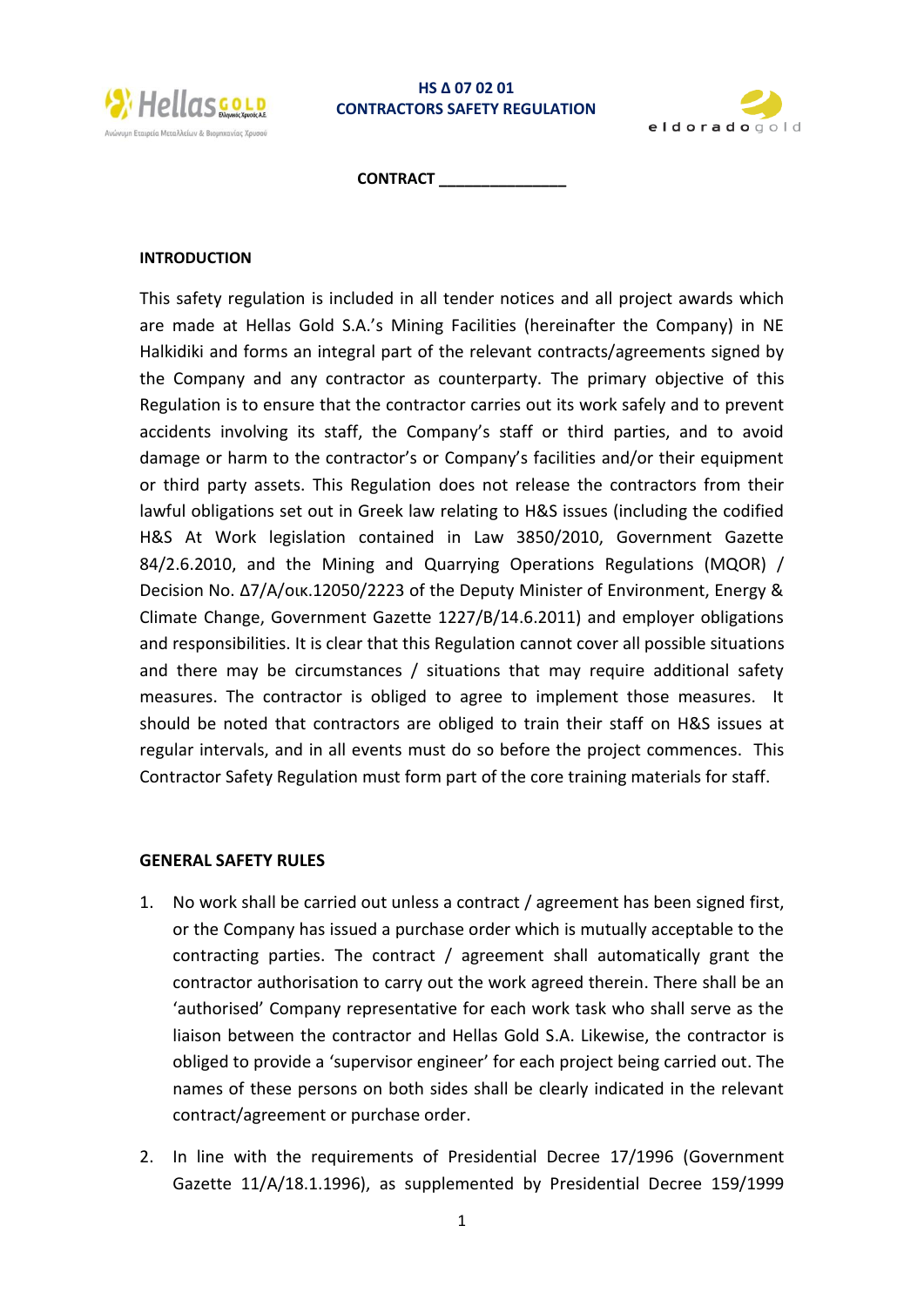

### **HS Δ 07 02 01 CONTRACTORS SAFETY REGULATION**



**CONTRACT \_\_\_\_\_\_\_\_\_\_\_\_\_\_\_**

#### **INTRODUCTION**

This safety regulation is included in all tender notices and all project awards which are made at Hellas Gold S.A.'s Mining Facilities (hereinafter the Company) in NE Halkidiki and forms an integral part of the relevant contracts/agreements signed by the Company and any contractor as counterparty. The primary objective of this Regulation is to ensure that the contractor carries out its work safely and to prevent accidents involving its staff, the Company's staff or third parties, and to avoid damage or harm to the contractor's or Company's facilities and/or their equipment or third party assets. This Regulation does not release the contractors from their lawful obligations set out in Greek law relating to H&S issues (including the codified H&S At Work legislation contained in Law 3850/2010, Government Gazette 84/2.6.2010, and the Mining and Quarrying Operations Regulations (MQOR) / Decision No. Δ7/Α/οικ.12050/2223 of the Deputy Minister of Environment, Energy & Climate Change, Government Gazette 1227/B/14.6.2011) and employer obligations and responsibilities. It is clear that this Regulation cannot cover all possible situations and there may be circumstances / situations that may require additional safety measures. The contractor is obliged to agree to implement those measures. It should be noted that contractors are obliged to train their staff on H&S issues at regular intervals, and in all events must do so before the project commences. This Contractor Safety Regulation must form part of the core training materials for staff.

### **GENERAL SAFETY RULES**

- 1. No work shall be carried out unless a contract / agreement has been signed first, or the Company has issued a purchase order which is mutually acceptable to the contracting parties. The contract / agreement shall automatically grant the contractor authorisation to carry out the work agreed therein. There shall be an 'authorised' Company representative for each work task who shall serve as the liaison between the contractor and Hellas Gold S.A. Likewise, the contractor is obliged to provide a 'supervisor engineer' for each project being carried out. The names of these persons on both sides shall be clearly indicated in the relevant contract/agreement or purchase order.
- 2. In line with the requirements of Presidential Decree 17/1996 (Government Gazette 11/A/18.1.1996), as supplemented by Presidential Decree 159/1999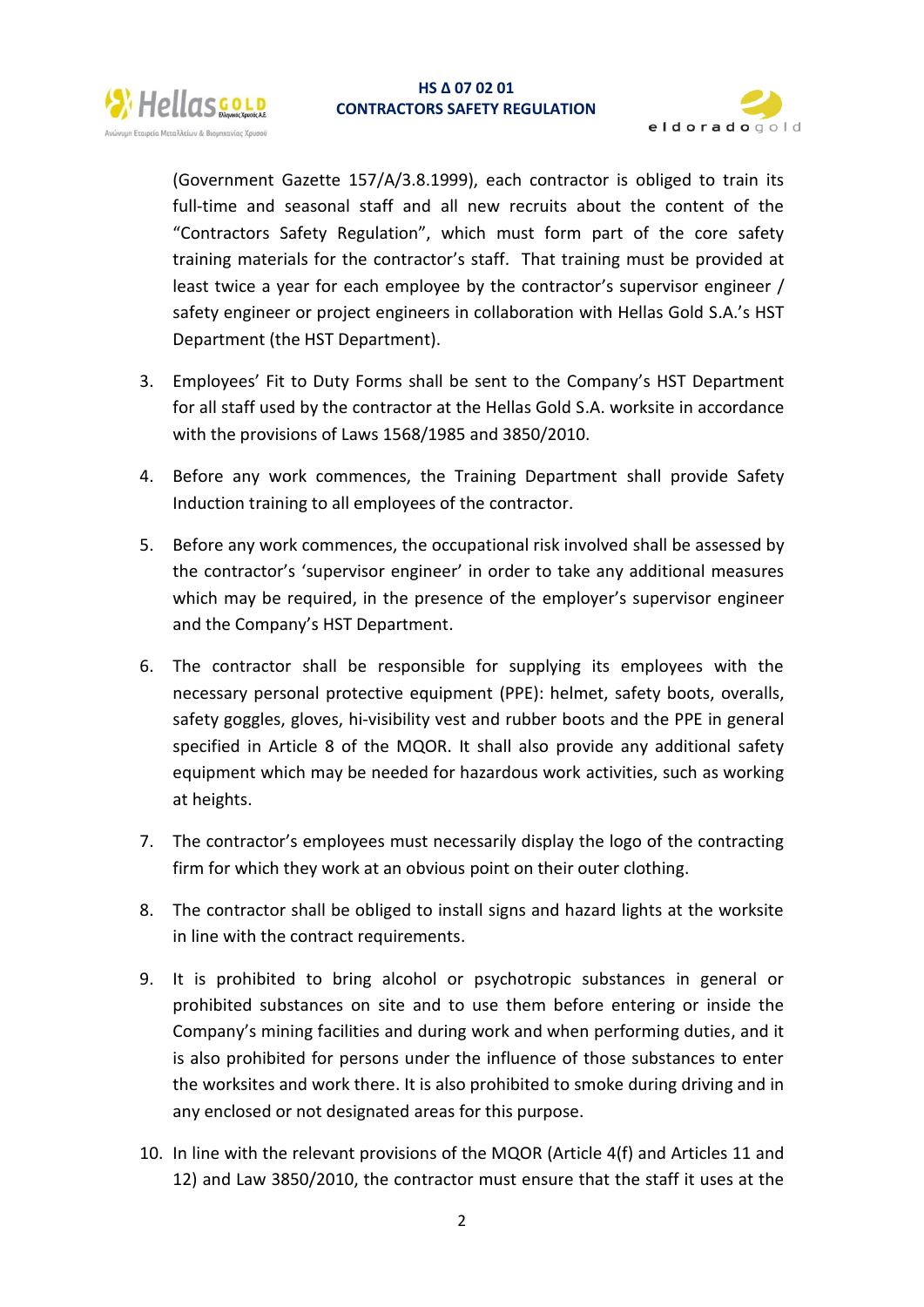



(Government Gazette 157/A/3.8.1999), each contractor is obliged to train its full-time and seasonal staff and all new recruits about the content of the "Contractors Safety Regulation", which must form part of the core safety training materials for the contractor's staff. That training must be provided at least twice a year for each employee by the contractor's supervisor engineer / safety engineer or project engineers in collaboration with Hellas Gold S.A.'s HST Department (the HST Department).

- 3. Employees' Fit to Duty Forms shall be sent to the Company's HST Department for all staff used by the contractor at the Hellas Gold S.A. worksite in accordance with the provisions of Laws 1568/1985 and 3850/2010.
- 4. Before any work commences, the Training Department shall provide Safety Induction training to all employees of the contractor.
- 5. Before any work commences, the occupational risk involved shall be assessed by the contractor's 'supervisor engineer' in order to take any additional measures which may be required, in the presence of the employer's supervisor engineer and the Company's HST Department.
- 6. The contractor shall be responsible for supplying its employees with the necessary personal protective equipment (PPE): helmet, safety boots, overalls, safety goggles, gloves, hi-visibility vest and rubber boots and the PPE in general specified in Article 8 of the MQOR. It shall also provide any additional safety equipment which may be needed for hazardous work activities, such as working at heights.
- 7. The contractor's employees must necessarily display the logo of the contracting firm for which they work at an obvious point on their outer clothing.
- 8. The contractor shall be obliged to install signs and hazard lights at the worksite in line with the contract requirements.
- 9. It is prohibited to bring alcohol or psychotropic substances in general or prohibited substances on site and to use them before entering or inside the Company's mining facilities and during work and when performing duties, and it is also prohibited for persons under the influence of those substances to enter the worksites and work there. It is also prohibited to smoke during driving and in any enclosed or not designated areas for this purpose.
- 10. In line with the relevant provisions of the MQOR (Article 4(f) and Articles 11 and 12) and Law 3850/2010, the contractor must ensure that the staff it uses at the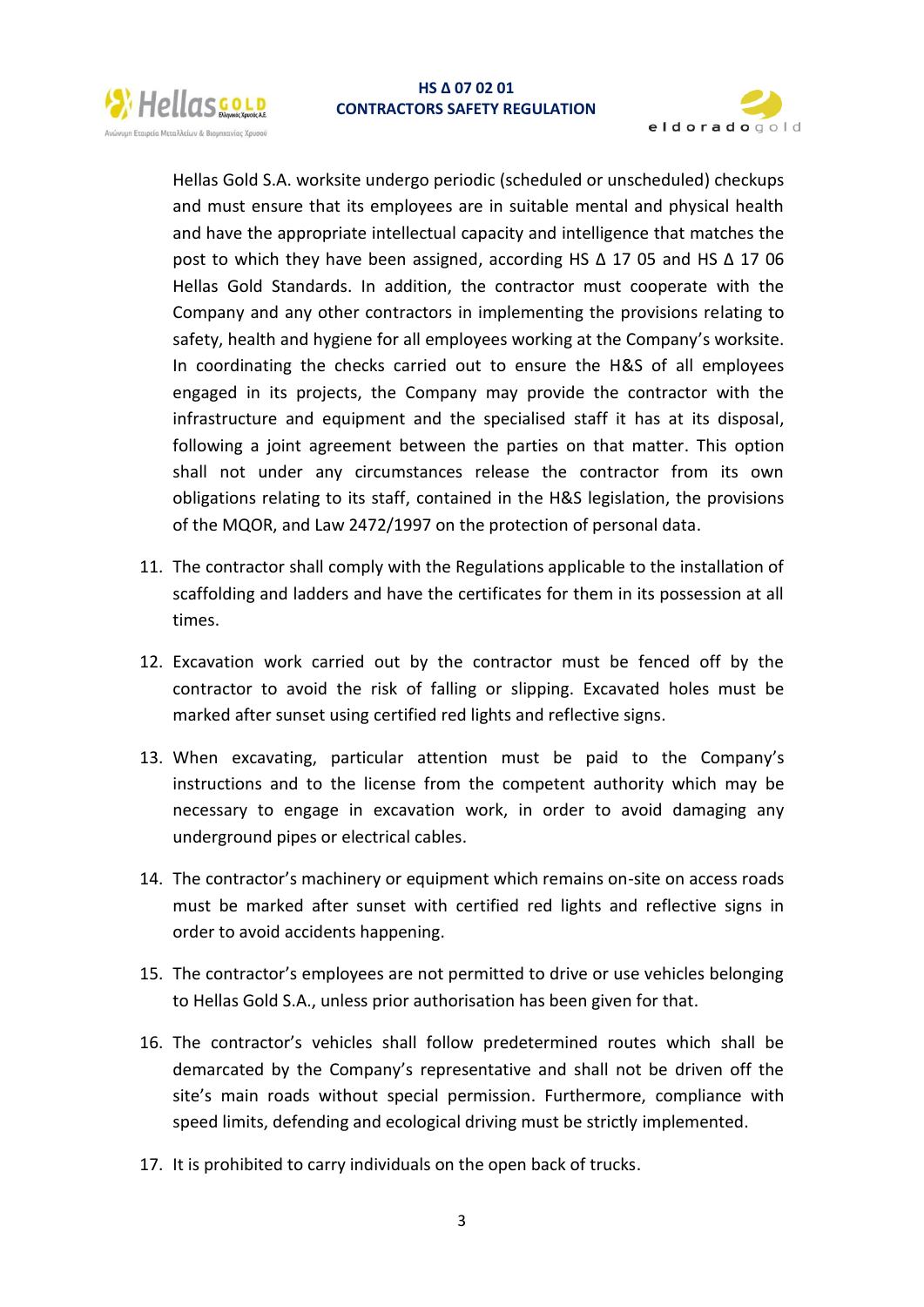



Hellas Gold S.A. worksite undergo periodic (scheduled or unscheduled) checkups and must ensure that its employees are in suitable mental and physical health and have the appropriate intellectual capacity and intelligence that matches the post to which they have been assigned, according HS  $\Delta$  17 05 and HS  $\Delta$  17 06 Hellas Gold Standards. In addition, the contractor must cooperate with the Company and any other contractors in implementing the provisions relating to safety, health and hygiene for all employees working at the Company's worksite. In coordinating the checks carried out to ensure the H&S of all employees engaged in its projects, the Company may provide the contractor with the infrastructure and equipment and the specialised staff it has at its disposal, following a joint agreement between the parties on that matter. This option shall not under any circumstances release the contractor from its own obligations relating to its staff, contained in the H&S legislation, the provisions of the MQOR, and Law 2472/1997 on the protection of personal data.

- 11. The contractor shall comply with the Regulations applicable to the installation of scaffolding and ladders and have the certificates for them in its possession at all times.
- 12. Excavation work carried out by the contractor must be fenced off by the contractor to avoid the risk of falling or slipping. Excavated holes must be marked after sunset using certified red lights and reflective signs.
- 13. When excavating, particular attention must be paid to the Company's instructions and to the license from the competent authority which may be necessary to engage in excavation work, in order to avoid damaging any underground pipes or electrical cables.
- 14. The contractor's machinery or equipment which remains on-site on access roads must be marked after sunset with certified red lights and reflective signs in order to avoid accidents happening.
- 15. The contractor's employees are not permitted to drive or use vehicles belonging to Hellas Gold S.A., unless prior authorisation has been given for that.
- 16. The contractor's vehicles shall follow predetermined routes which shall be demarcated by the Company's representative and shall not be driven off the site's main roads without special permission. Furthermore, compliance with speed limits, defending and ecological driving must be strictly implemented.
- 17. It is prohibited to carry individuals on the open back of trucks.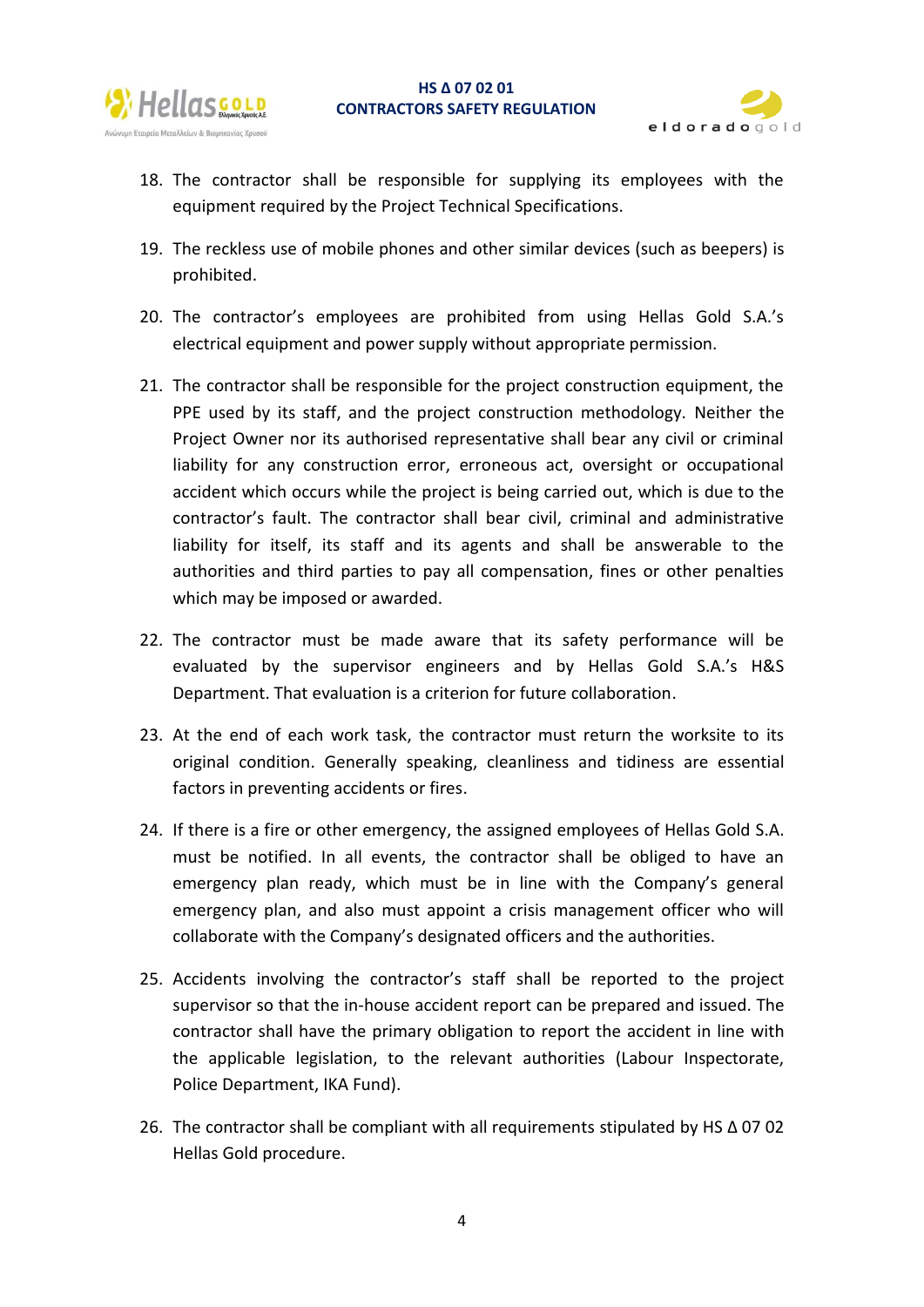

## **HS Δ 07 02 01 CONTRACTORS SAFETY REGULATION**



- 18. The contractor shall be responsible for supplying its employees with the equipment required by the Project Technical Specifications.
- 19. The reckless use of mobile phones and other similar devices (such as beepers) is prohibited.
- 20. The contractor's employees are prohibited from using Hellas Gold S.A.'s electrical equipment and power supply without appropriate permission.
- 21. The contractor shall be responsible for the project construction equipment, the PPE used by its staff, and the project construction methodology. Neither the Project Owner nor its authorised representative shall bear any civil or criminal liability for any construction error, erroneous act, oversight or occupational accident which occurs while the project is being carried out, which is due to the contractor's fault. The contractor shall bear civil, criminal and administrative liability for itself, its staff and its agents and shall be answerable to the authorities and third parties to pay all compensation, fines or other penalties which may be imposed or awarded.
- 22. The contractor must be made aware that its safety performance will be evaluated by the supervisor engineers and by Hellas Gold S.A.'s H&S Department. That evaluation is a criterion for future collaboration.
- 23. At the end of each work task, the contractor must return the worksite to its original condition. Generally speaking, cleanliness and tidiness are essential factors in preventing accidents or fires.
- 24. If there is a fire or other emergency, the assigned employees of Hellas Gold S.A. must be notified. In all events, the contractor shall be obliged to have an emergency plan ready, which must be in line with the Company's general emergency plan, and also must appoint a crisis management officer who will collaborate with the Company's designated officers and the authorities.
- 25. Accidents involving the contractor's staff shall be reported to the project supervisor so that the in-house accident report can be prepared and issued. The contractor shall have the primary obligation to report the accident in line with the applicable legislation, to the relevant authorities (Labour Inspectorate, Police Department, IKA Fund).
- 26. The contractor shall be compliant with all requirements stipulated by HS Δ 07 02 Hellas Gold procedure.